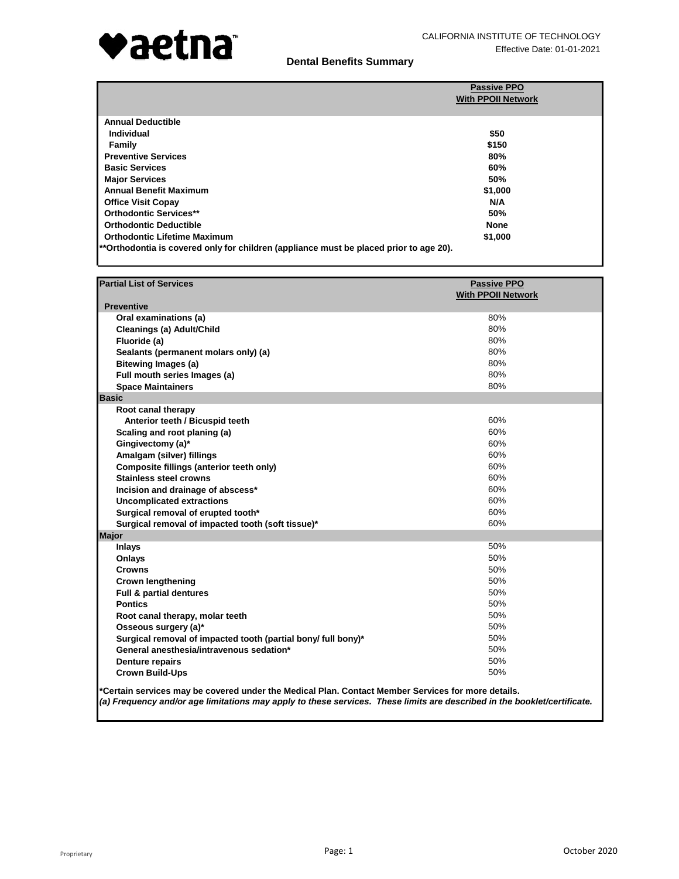

|                                                                                        | <b>Passive PPO</b><br><b>With PPOII Network</b> |
|----------------------------------------------------------------------------------------|-------------------------------------------------|
|                                                                                        |                                                 |
| <b>Annual Deductible</b>                                                               |                                                 |
| Individual                                                                             | \$50                                            |
| Family                                                                                 | \$150                                           |
| <b>Preventive Services</b>                                                             | 80%                                             |
| <b>Basic Services</b>                                                                  | 60%                                             |
| <b>Major Services</b>                                                                  | 50%                                             |
| <b>Annual Benefit Maximum</b>                                                          | \$1,000                                         |
| <b>Office Visit Copay</b>                                                              | N/A                                             |
| <b>Orthodontic Services**</b>                                                          | 50%                                             |
| <b>Orthodontic Deductible</b>                                                          | <b>None</b>                                     |
| <b>Orthodontic Lifetime Maximum</b>                                                    | \$1,000                                         |
| **Orthodontia is covered only for children (appliance must be placed prior to age 20). |                                                 |

| <b>Partial List of Services</b>                                                                                                                                                                                                | <b>Passive PPO</b>        |
|--------------------------------------------------------------------------------------------------------------------------------------------------------------------------------------------------------------------------------|---------------------------|
| <b>Preventive</b>                                                                                                                                                                                                              | <b>With PPOII Network</b> |
| Oral examinations (a)                                                                                                                                                                                                          | 80%                       |
| Cleanings (a) Adult/Child                                                                                                                                                                                                      | 80%                       |
| Fluoride (a)                                                                                                                                                                                                                   | 80%                       |
| Sealants (permanent molars only) (a)                                                                                                                                                                                           | 80%                       |
| <b>Bitewing Images (a)</b>                                                                                                                                                                                                     | 80%                       |
| Full mouth series Images (a)                                                                                                                                                                                                   | 80%                       |
| <b>Space Maintainers</b>                                                                                                                                                                                                       | 80%                       |
| <b>Basic</b>                                                                                                                                                                                                                   |                           |
| Root canal therapy                                                                                                                                                                                                             |                           |
| Anterior teeth / Bicuspid teeth                                                                                                                                                                                                | 60%                       |
| Scaling and root planing (a)                                                                                                                                                                                                   | 60%                       |
| Gingivectomy (a)*                                                                                                                                                                                                              | 60%                       |
| Amalgam (silver) fillings                                                                                                                                                                                                      | 60%                       |
| Composite fillings (anterior teeth only)                                                                                                                                                                                       | 60%                       |
| <b>Stainless steel crowns</b>                                                                                                                                                                                                  | 60%                       |
| Incision and drainage of abscess*                                                                                                                                                                                              | 60%                       |
| <b>Uncomplicated extractions</b>                                                                                                                                                                                               | 60%                       |
| Surgical removal of erupted tooth*                                                                                                                                                                                             | 60%                       |
| Surgical removal of impacted tooth (soft tissue)*                                                                                                                                                                              | 60%                       |
| <b>Major</b>                                                                                                                                                                                                                   |                           |
| <b>Inlays</b>                                                                                                                                                                                                                  | 50%                       |
| Onlays                                                                                                                                                                                                                         | 50%                       |
| <b>Crowns</b>                                                                                                                                                                                                                  | 50%                       |
| <b>Crown lengthening</b>                                                                                                                                                                                                       | 50%                       |
| <b>Full &amp; partial dentures</b>                                                                                                                                                                                             | 50%                       |
| <b>Pontics</b>                                                                                                                                                                                                                 | 50%                       |
| Root canal therapy, molar teeth                                                                                                                                                                                                | 50%                       |
| Osseous surgery (a)*                                                                                                                                                                                                           | 50%                       |
| Surgical removal of impacted tooth (partial bony/ full bony)*                                                                                                                                                                  | 50%                       |
| General anesthesia/intravenous sedation*                                                                                                                                                                                       | 50%                       |
| <b>Denture repairs</b>                                                                                                                                                                                                         | 50%                       |
| <b>Crown Build-Ups</b>                                                                                                                                                                                                         | 50%                       |
| *Certain services may be covered under the Medical Plan. Contact Member Services for more details.<br>(a) Frequency and/or age limitations may apply to these services. These limits are described in the booklet/certificate. |                           |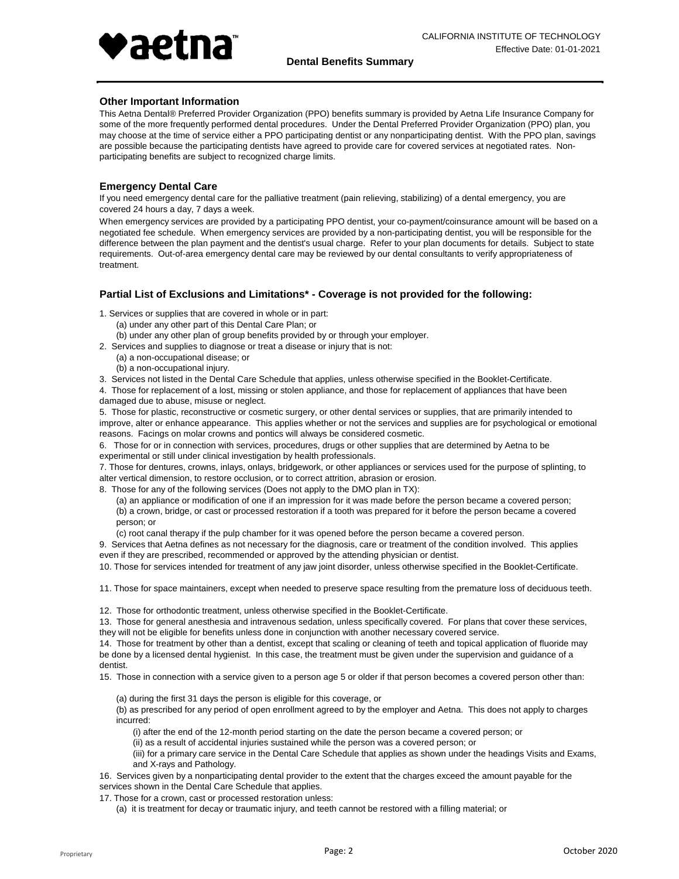

## **Other Important Information**

This Aetna Dental® Preferred Provider Organization (PPO) benefits summary is provided by Aetna Life Insurance Company for some of the more frequently performed dental procedures. Under the Dental Preferred Provider Organization (PPO) plan, you may choose at the time of service either a PPO participating dentist or any nonparticipating dentist. With the PPO plan, savings are possible because the participating dentists have agreed to provide care for covered services at negotiated rates. Nonparticipating benefits are subject to recognized charge limits.

### **Emergency Dental Care**

If you need emergency dental care for the palliative treatment (pain relieving, stabilizing) of a dental emergency, you are covered 24 hours a day, 7 days a week.

When emergency services are provided by a participating PPO dentist, your co-payment/coinsurance amount will be based on a negotiated fee schedule. When emergency services are provided by a non-participating dentist, you will be responsible for the difference between the plan payment and the dentist's usual charge. Refer to your plan documents for details. Subject to state requirements. Out-of-area emergency dental care may be reviewed by our dental consultants to verify appropriateness of treatment.

### **Partial List of Exclusions and Limitations\* - Coverage is not provided for the following:**

1. Services or supplies that are covered in whole or in part:

- (a) under any other part of this Dental Care Plan; or
- (b) under any other plan of group benefits provided by or through your employer.
- 2. Services and supplies to diagnose or treat a disease or injury that is not:
	- (a) a non-occupational disease; or (b) a non-occupational injury.
- 3. Services not listed in the Dental Care Schedule that applies, unless otherwise specified in the Booklet-Certificate.

4. Those for replacement of a lost, missing or stolen appliance, and those for replacement of appliances that have been

damaged due to abuse, misuse or neglect.

5. Those for plastic, reconstructive or cosmetic surgery, or other dental services or supplies, that are primarily intended to improve, alter or enhance appearance. This applies whether or not the services and supplies are for psychological or emotional reasons. Facings on molar crowns and pontics will always be considered cosmetic.

6. Those for or in connection with services, procedures, drugs or other supplies that are determined by Aetna to be experimental or still under clinical investigation by health professionals.

7. Those for dentures, crowns, inlays, onlays, bridgework, or other appliances or services used for the purpose of splinting, to alter vertical dimension, to restore occlusion, or to correct attrition, abrasion or erosion.

8. Those for any of the following services (Does not apply to the DMO plan in TX):

(a) an appliance or modification of one if an impression for it was made before the person became a covered person; (b) a crown, bridge, or cast or processed restoration if a tooth was prepared for it before the person became a covered person; or

(c) root canal therapy if the pulp chamber for it was opened before the person became a covered person.

9. Services that Aetna defines as not necessary for the diagnosis, care or treatment of the condition involved. This applies even if they are prescribed, recommended or approved by the attending physician or dentist.

10. Those for services intended for treatment of any jaw joint disorder, unless otherwise specified in the Booklet-Certificate.

11. Those for space maintainers, except when needed to preserve space resulting from the premature loss of deciduous teeth.

12. Those for orthodontic treatment, unless otherwise specified in the Booklet-Certificate.

13. Those for general anesthesia and intravenous sedation, unless specifically covered. For plans that cover these services, they will not be eligible for benefits unless done in conjunction with another necessary covered service.

14. Those for treatment by other than a dentist, except that scaling or cleaning of teeth and topical application of fluoride may be done by a licensed dental hygienist. In this case, the treatment must be given under the supervision and guidance of a dentist.

15. Those in connection with a service given to a person age 5 or older if that person becomes a covered person other than:

(a) during the first 31 days the person is eligible for this coverage, or

(b) as prescribed for any period of open enrollment agreed to by the employer and Aetna. This does not apply to charges incurred:

(i) after the end of the 12-month period starting on the date the person became a covered person; or

(ii) as a result of accidental injuries sustained while the person was a covered person; or

(iii) for a primary care service in the Dental Care Schedule that applies as shown under the headings Visits and Exams, and X-rays and Pathology.

16. Services given by a nonparticipating dental provider to the extent that the charges exceed the amount payable for the services shown in the Dental Care Schedule that applies.

17. Those for a crown, cast or processed restoration unless:

(a) it is treatment for decay or traumatic injury, and teeth cannot be restored with a filling material; or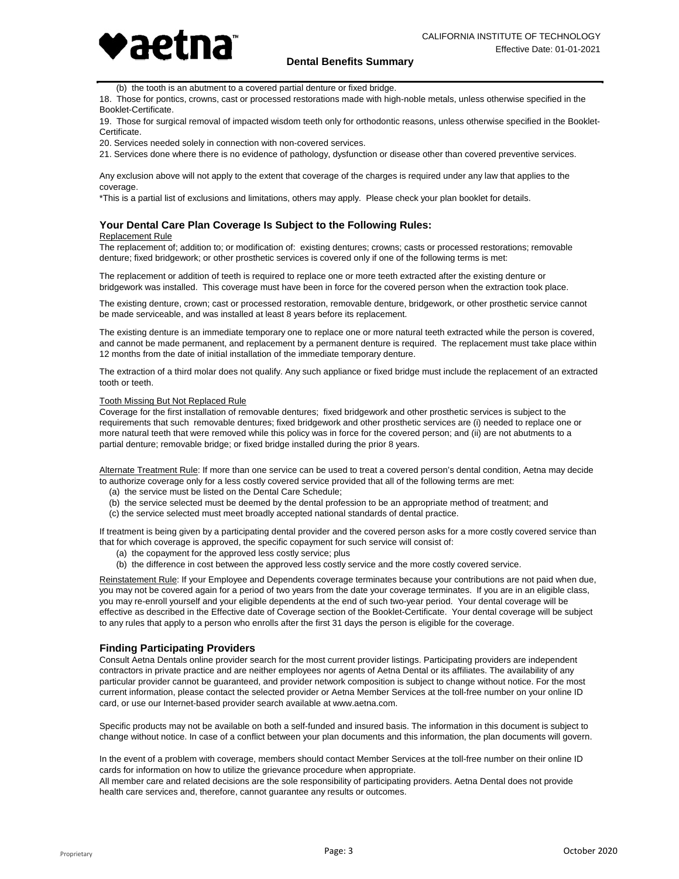

(b) the tooth is an abutment to a covered partial denture or fixed bridge.

18. Those for pontics, crowns, cast or processed restorations made with high-noble metals, unless otherwise specified in the Booklet-Certificate.

19. Those for surgical removal of impacted wisdom teeth only for orthodontic reasons, unless otherwise specified in the Booklet-Certificate.

20. Services needed solely in connection with non-covered services.

21. Services done where there is no evidence of pathology, dysfunction or disease other than covered preventive services.

Any exclusion above will not apply to the extent that coverage of the charges is required under any law that applies to the coverage.

\*This is a partial list of exclusions and limitations, others may apply. Please check your plan booklet for details.

# **Your Dental Care Plan Coverage Is Subject to the Following Rules:**

#### Replacement Rule

The replacement of; addition to; or modification of: existing dentures; crowns; casts or processed restorations; removable denture; fixed bridgework; or other prosthetic services is covered only if one of the following terms is met:

The replacement or addition of teeth is required to replace one or more teeth extracted after the existing denture or bridgework was installed. This coverage must have been in force for the covered person when the extraction took place.

The existing denture, crown; cast or processed restoration, removable denture, bridgework, or other prosthetic service cannot be made serviceable, and was installed at least 8 years before its replacement.

The existing denture is an immediate temporary one to replace one or more natural teeth extracted while the person is covered, and cannot be made permanent, and replacement by a permanent denture is required. The replacement must take place within 12 months from the date of initial installation of the immediate temporary denture.

The extraction of a third molar does not qualify. Any such appliance or fixed bridge must include the replacement of an extracted tooth or teeth.

#### Tooth Missing But Not Replaced Rule

Coverage for the first installation of removable dentures; fixed bridgework and other prosthetic services is subject to the requirements that such removable dentures; fixed bridgework and other prosthetic services are (i) needed to replace one or more natural teeth that were removed while this policy was in force for the covered person; and (ii) are not abutments to a partial denture; removable bridge; or fixed bridge installed during the prior 8 years.

Alternate Treatment Rule: If more than one service can be used to treat a covered person's dental condition, Aetna may decide to authorize coverage only for a less costly covered service provided that all of the following terms are met:

- (a) the service must be listed on the Dental Care Schedule;
- (b) the service selected must be deemed by the dental profession to be an appropriate method of treatment; and
- (c) the service selected must meet broadly accepted national standards of dental practice.

If treatment is being given by a participating dental provider and the covered person asks for a more costly covered service than that for which coverage is approved, the specific copayment for such service will consist of:

- (a) the copayment for the approved less costly service; plus
- (b) the difference in cost between the approved less costly service and the more costly covered service.

Reinstatement Rule: If your Employee and Dependents coverage terminates because your contributions are not paid when due, you may not be covered again for a period of two years from the date your coverage terminates. If you are in an eligible class, you may re-enroll yourself and your eligible dependents at the end of such two-year period. Your dental coverage will be effective as described in the Effective date of Coverage section of the Booklet-Certificate. Your dental coverage will be subject to any rules that apply to a person who enrolls after the first 31 days the person is eligible for the coverage.

### **Finding Participating Providers**

Consult Aetna Dentals online provider search for the most current provider listings. Participating providers are independent contractors in private practice and are neither employees nor agents of Aetna Dental or its affiliates. The availability of any particular provider cannot be guaranteed, and provider network composition is subject to change without notice. For the most current information, please contact the selected provider or Aetna Member Services at the toll-free number on your online ID card, or use our Internet-based provider search available at www.aetna.com.

Specific products may not be available on both a self-funded and insured basis. The information in this document is subject to change without notice. In case of a conflict between your plan documents and this information, the plan documents will govern.

In the event of a problem with coverage, members should contact Member Services at the toll-free number on their online ID cards for information on how to utilize the grievance procedure when appropriate.

All member care and related decisions are the sole responsibility of participating providers. Aetna Dental does not provide health care services and, therefore, cannot guarantee any results or outcomes.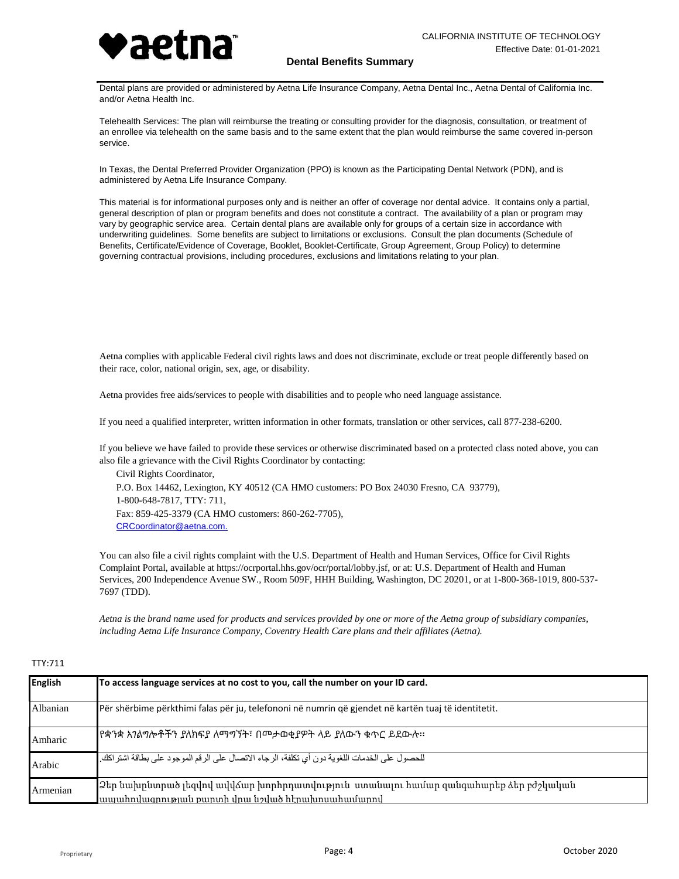

Dental plans are provided or administered by Aetna Life Insurance Company, Aetna Dental Inc., Aetna Dental of California Inc. and/or Aetna Health Inc.

Telehealth Services: The plan will reimburse the treating or consulting provider for the diagnosis, consultation, or treatment of an enrollee via telehealth on the same basis and to the same extent that the plan would reimburse the same covered in-person service.

In Texas, the Dental Preferred Provider Organization (PPO) is known as the Participating Dental Network (PDN), and is administered by Aetna Life Insurance Company.

This material is for informational purposes only and is neither an offer of coverage nor dental advice. It contains only a partial, general description of plan or program benefits and does not constitute a contract. The availability of a plan or program may vary by geographic service area. Certain dental plans are available only for groups of a certain size in accordance with underwriting guidelines. Some benefits are subject to limitations or exclusions. Consult the plan documents (Schedule of Benefits, Certificate/Evidence of Coverage, Booklet, Booklet-Certificate, Group Agreement, Group Policy) to determine governing contractual provisions, including procedures, exclusions and limitations relating to your plan.

Aetna complies with applicable Federal civil rights laws and does not discriminate, exclude or treat people differently based on their race, color, national origin, sex, age, or disability.

Aetna provides free aids/services to people with disabilities and to people who need language assistance.

If you need a qualified interpreter, written information in other formats, translation or other services, call 877-238-6200.

If you believe we have failed to provide these services or otherwise discriminated based on a protected class noted above, you can also file a grievance with the Civil Rights Coordinator by contacting:

Civil Rights Coordinator, P.O. Box 14462, Lexington, KY 40512 (CA HMO customers: PO Box 24030 Fresno, CA 93779), 1-800-648-7817, TTY: 711, Fax: 859-425-3379 (CA HMO customers: 860-262-7705), [CRCoordinator@aetna.com.](mailto:CRCoordinator@aetna.com.)

You can also file a civil rights complaint with the U.S. Department of Health and Human Services, Office for Civil Rights Complaint Portal, available at https://ocrportal.hhs.gov/ocr/portal/lobby.jsf, or at: U.S. Department of Health and Human Services, 200 Independence Avenue SW., Room 509F, HHH Building, Washington, DC 20201, or at 1-800-368-1019, 800-537- 7697 (TDD).

*Aetna is the brand name used for products and services provided by one or more of the Aetna group of subsidiary companies, including Aetna Life Insurance Company, Coventry Health Care plans and their affiliates (Aetna).*

## TTY:711

| <b>English</b> | To access language services at no cost to you, call the number on your ID card.                                                         |
|----------------|-----------------------------------------------------------------------------------------------------------------------------------------|
| Albanian       | Për shërbime përkthimi falas për ju, telefononi në numrin që gjendet në kartën tuaj të identitetit.                                     |
| Amharic        | የቋንቋ አንልግሎቶችን ያለክፍያ ለማግኘት፣ በመታወቂያዎት ላይ ያለውን ቁጥር ይደውሉ።                                                                                   |
| Arabic         | للحصول على الخدمات اللغوية دون أي تكلفة، الرجاء الاتصال على الرقم الموجود على بطاقة اشتر اكك.                                           |
| Armenian       | 2 եր նախընտրած լեզվով ավվձար խորհրդատվություն ստանալու համար զանգահարեք ձեր բժշկական<br>ապահովազոության քաղտի վոա նշված հէրախոսահամարով |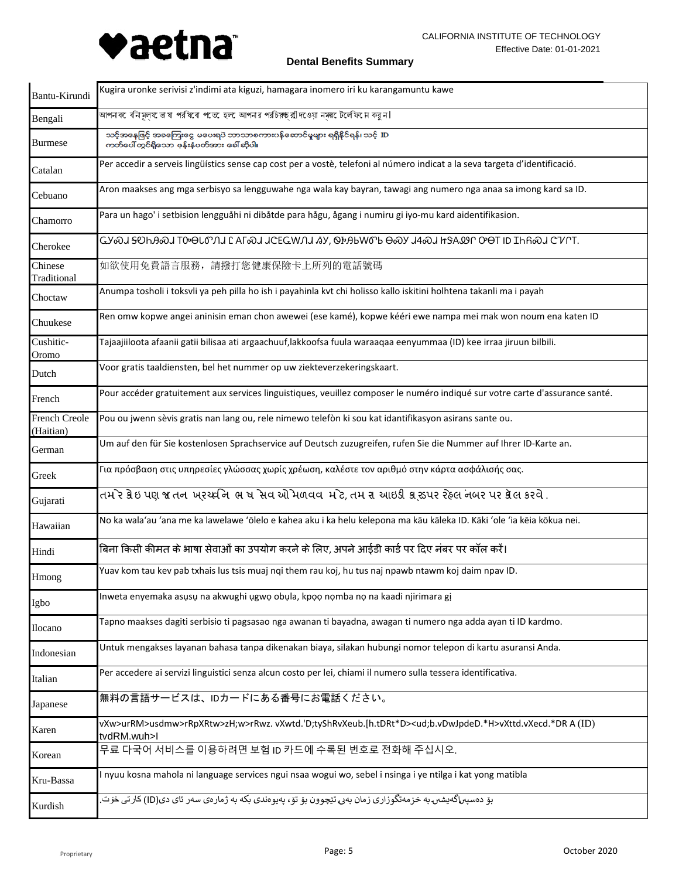

| Bantu-Kirundi              | Kugira uronke serivisi z'indimi ata kiguzi, hamagara inomero iri ku karangamuntu kawe                                                        |
|----------------------------|----------------------------------------------------------------------------------------------------------------------------------------------|
| Bengali                    | আপনক েবনিমূল্য ভাষা পরযিবো পতে হেল আপনার পরচিয়ক্ষ্রাীদওয়া নমরটে লেফি দে করন।                                                               |
| <b>Burmese</b>             | သင့်အနေဖြင့် အခကြေးငွေ မပေးရပဲ ဘာသာစကားပန်ဆောင်မှုများ ရရှိနိုင်ရန်၊ သင့် ID<br>ကတ်ပေါ် တွင်ရှိသော ဖုန်းနံပတ်အား ခေါ် ဆိုပါ။                 |
| Catalan                    | Per accedir a serveis lingüístics sense cap cost per a vostè, telefoni al número indicat a la seva targeta d'identificació.                  |
| Cebuano                    | Aron maakses ang mga serbisyo sa lengguwahe nga wala kay bayran, tawagi ang numero nga anaa sa imong kard sa ID.                             |
| Chamorro                   | Para un hago' i setbision lengguåhi ni dibåtde para hågu, ågang i numiru gi iyo-mu kard aidentifikasion.                                     |
| Cherokee                   | TA®J <del>Z</del> OPUSO LOMBIOJU I TUSTI I GERANJI KAJ OFARMOJ OSN JASJ HISTOJ OSLI DI IPUSOJ CINLI                                          |
| Chinese<br>Traditional     | 如欲使用免費語言服務,請撥打您健康保險卡上所列的電話號碼                                                                                                                 |
| Choctaw                    | Anumpa tosholi i toksvli ya peh pilla ho ish i payahinla kvt chi holisso kallo iskitini holhtena takanli ma i payah                          |
| Chuukese                   | Ren omw kopwe angei aninisin eman chon awewei (ese kamé), kopwe kééri ewe nampa mei mak won noum ena katen ID                                |
| Cushitic-<br>Oromo         | Tajaajiiloota afaanii gatii bilisaa ati argaachuuf,lakkoofsa fuula waraaqaa eenyummaa (ID) kee irraa jiruun bilbili.                         |
| Dutch                      | Voor gratis taaldiensten, bel het nummer op uw ziekteverzekeringskaart.                                                                      |
| French                     | Pour accéder gratuitement aux services linguistiques, veuillez composer le numéro indiqué sur votre carte d'assurance santé.                 |
| French Creole<br>(Haitian) | Pou ou jwenn sèvis gratis nan lang ou, rele nimewo telefòn ki sou kat idantifikasyon asirans sante ou.                                       |
| German                     | Um auf den für Sie kostenlosen Sprachservice auf Deutsch zuzugreifen, rufen Sie die Nummer auf Ihrer ID-Karte an.                            |
| Greek                      | Για πρόσβαση στις υπηρεσίες γλώσσας χωρίς χρέωση, καλέστε τον αριθμό στην κάρτα ασφάλισής σας.                                               |
| Gujarati                   | તમ`ર ક્રેઇ પણ જ તન ખરચ્દનિ ભ ષ સેવ ઓમળવવ મ`ટે, તમ રા આઇડી ક્રાસ્ડપર રેહલ નબર પર ક્રેલ કરવે .                                                 |
| Hawaiian                   | No ka wala'au 'ana me ka lawelawe 'ōlelo e kahea aku i ka helu kelepona ma kāu kāleka ID. Kāki 'ole 'ia kēia kōkua nei.                      |
| Hindi                      | बिना किसी कीमत के भाषा सेवाओं का उपयोग करने के लिए, अपने आईडी कार्ड पर दिए नंबर पर कॉल करें।                                                 |
| Hmong                      | Yuav kom tau kev pab txhais lus tsis muaj nqi them rau koj, hu tus naj npawb ntawm koj daim npav ID.                                         |
| Igbo                       | Inweta enyemaka asusu na akwughi ugwo obula, kpoo nomba no na kaadi njirimara gi                                                             |
| Ilocano                    | Tapno maakses dagiti serbisio ti pagsasao nga awanan ti bayadna, awagan ti numero nga adda ayan ti ID kardmo.                                |
| Indonesian                 | Untuk mengakses layanan bahasa tanpa dikenakan biaya, silakan hubungi nomor telepon di kartu asuransi Anda.                                  |
| Italian                    | Per accedere ai servizi linguistici senza alcun costo per lei, chiami il numero sulla tessera identificativa.                                |
| Japanese                   | 無料の言語サービスは、IDカードにある番号にお電話ください。                                                                                                               |
| Karen                      | vXw>urRM>usdmw>rRpXRtw>zH;w>rRwz.vXwtd.'D;tyShRvXeub.[h.tDRt*D> <ud;b.vdwjpded.*h>vXttd.vXecd.*DRA(ID)<br/>tvdRM.wuh&gt;l</ud;b.vdwjpded.*h> |
| Korean                     | 무료 다국어 서비스를 이용하려면 보험 ID 카드에 수록된 번호로 전화해 주십시오.                                                                                                |
| Kru-Bassa                  | I nyuu kosna mahola ni language services ngui nsaa wogui wo, sebel i nsinga i ye ntilga i kat yong matibla                                   |
| Kurdish                    | بۆ دەسپى <sub>ل</sub> اگەيشىں بە خزمەتگوزارى زمان بەر، تێچوون بۆ تۆ، پەيوەندى بكە بە ژمارەى سەر ئاى دى(ID) كارتى خۆت                         |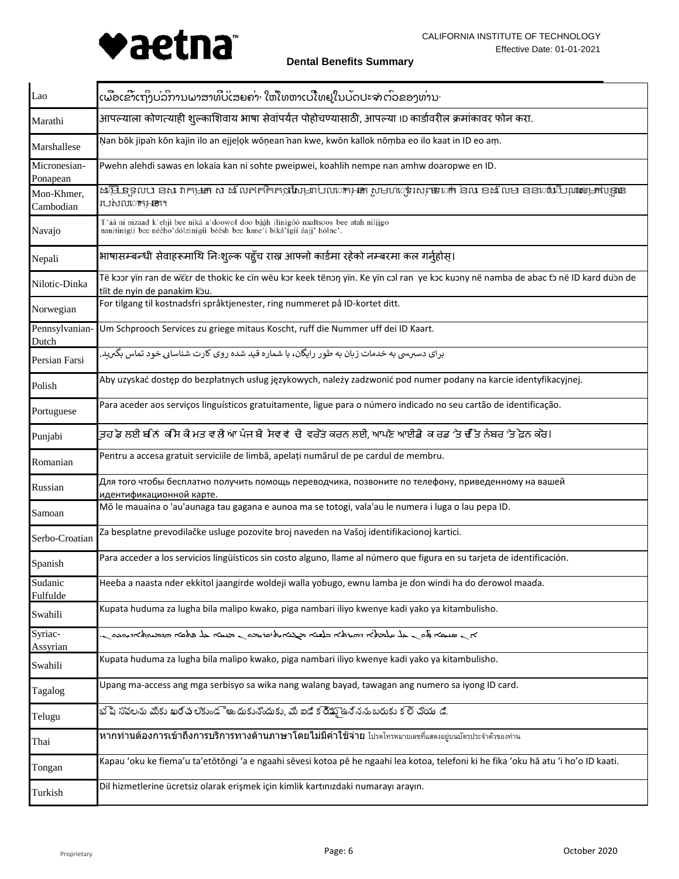

ເພື່ອເຂົາເຖິງບໍລິການພາສາທີ່ບໍ່ເສຍຄ່າ ໃຫ້ໂທຫາເບີໂທຢູໃນບັດປະຈຳຕົວຂອງທ່ານ· Lao आपल्याला कोणत्याही शुल्काशिवाय भाषा सेवांपर्यंत पोहोचण्यासाठी, आपल्या ID कार्डावरील क्रमांकावर फोन करा. Marathi Ņan bōk jipan̄ kōn kajin ilo an ejjeļọk wōņean n̄an kwe, kwōn kallok nōṃba eo ilo kaat in ID eo aṃ. Marshallese Micronesian-Pwehn alehdi sawas en lokaia kan ni sohte pweipwei, koahlih nempe nan amhw doaropwe en ID. Ponapean ដើម្បី ទូលបា នសា វាកម្មអា សា ដ លែកកកិកក្មាលៃម្នាប់លលាកអ្នក សូមហាខ្ញុំ លោក នា ខ្ពស់ នា ខដ លមា ននាពាណ៌មួយឈ្មោះ ន Mon-Khmer, របស់ល**ោក**រូ**ន**ក។ Cambodian T'áá ni nizaad k'ehjí bee níká a'doowoł doo bááh ilínígóó naaltsoos bee atah nilíigo Navajo nanitinígíí bee néého dólzinígíí béésh bee hane í biká ígíí áaji hólne'. भाषासम्बन्धी सेवाहरूमाथि निःशुल्क पहुँच राख्न आफ्नो कार्डमा रहेको नम्बरमा कल गर्नुहोस्। Nepali Të kɔɔr yïn ran de wɛ̈ɛr de thokic ke cïn wëu kɔr keek těnɔŋ yïn. Ke yïn cɔl ran ye kɔc kuɔny në namba de abac tɔ̃ nẽ ID kard duɔ̈n de Nilotic-Dinka tïït de nyin de panakim kɔ̀u. For tilgang til kostnadsfri språktjenester, ring nummeret på ID-kortet ditt. Norwegian Pennsylvanian-Um Schprooch Services zu griege mitaus Koscht, ruff die Nummer uff dei ID Kaart. Dutch برای دسبریمی به خدمات زبان به طور رایگان، با شماره قید شده روی کارت شناسایی خود تماس بگیرید. Persian Farsi Aby uzyskać dostęp do bezpłatnych usług językowych, należy zadzwonić pod numer podany na karcie identyfikacyjnej. Polish Para aceder aos serviços linguísticos gratuitamente, ligue para o número indicado no seu cartão de identificação. Portuguese ਤੁਹਾ ਡੇ ਲਈ ਬੀਨਾਂ ਕੀ ਸੇ ਕੀ ਮਤ ਵਾਲੀ ਆਂ ਪੰਜਾ ਬੀ ਸੇਵਾਵਾਂ ਦੀ ਵਰਤੋਂ ਕਰਨ ਲਈ, ਆਪਣੇ ਆਈਡੀ ਕਾਰਡ 'ਤੇ ਦੇ ਤਿ ਨੰਬਰ 'ਤੇ ਫ਼ੋਨ ਕਰੋ। Punjabi Pentru a accesa gratuit serviciile de limbă, apelați numărul de pe cardul de membru. Romanian Для того чтобы бесплатно получить помощь переводчика, позвоните по телефону, приведенному на вашей Russian идентификационной карте. Mō le mauaina o 'au'aunaga tau gagana e aunoa ma se totogi, vala'au le numera i luga o lau pepa ID. Samoan Za besplatne prevodilačke usluge pozovite broj naveden na Vašoj identifikacionoj kartici. Serbo-Croatian Para acceder a los servicios lingüísticos sin costo alguno, llame al número que figura en su tarjeta de identificación. Spanish Sudanic Heeɓa a naasta nder ekkitol jaangirde woldeji walla yoɓugo, ewnu lamba je ɗon windi ha do ɗerowol maaɗa. Fulfulde Kupata huduma za lugha bila malipo kwako, piga nambari iliyo kwenye kadi yako ya kitambulisho. Swahili ܐܸܢ ܣܢܝܼܩܵܐ ܝ̄ܬܘܼܢ ܥܼܿܠ ܚܸܠܡܼܿܬܹ̈ܐ ܕܗܼܿܝܼܿܪܬܵܐ ܒܠܸܫܵܢܵܐ ܡܼܿܓܵܢܵܐܝܼܬ، ܩܪܝܼܡܘܿܢ ܡܸܢܝܵܢܵܐ ܥܼܿܠ ܦܸܬܩܵܐ ܗܼܿܕܵܡܵܝܘܼܬܵܐܕܝܼܵܘܟܼܘܿܢ. Syriac-Assyrian Kupata huduma za lugha bila malipo kwako, piga nambari iliyo kwenye kadi yako ya kitambulisho. Swahili Upang ma-access ang mga serbisyo sa wika nang walang bayad, tawagan ang numero sa iyong ID card. Tagalog భెష సవలను మీకు ఖర్చ లేకుండొఅం దుకునేందుకు, మీ ఐడి క రీ్డూఉన్ననుబరుకు క లే్ చోయం డి. Telugu หากท่านต้องการเข้าถึงการบริการทางด้านภาษาโดยไม่มีค่าใช้จ่าย โปรดโทรหมายเลขที่แสดงอยู่บนบัตรประจำตัวของท่าน Thai Kapau 'oku ke fiema'u ta'etōtōngi 'a e ngaahi sēvesi kotoa pē he ngaahi lea kotoa, telefoni ki he fika 'oku hā atu 'i ho'o ID kaati. Tongan Dil hizmetlerine ücretsiz olarak erişmek için kimlik kartınızdaki numarayı arayın. Turkish

**Dental Benefits Summary**